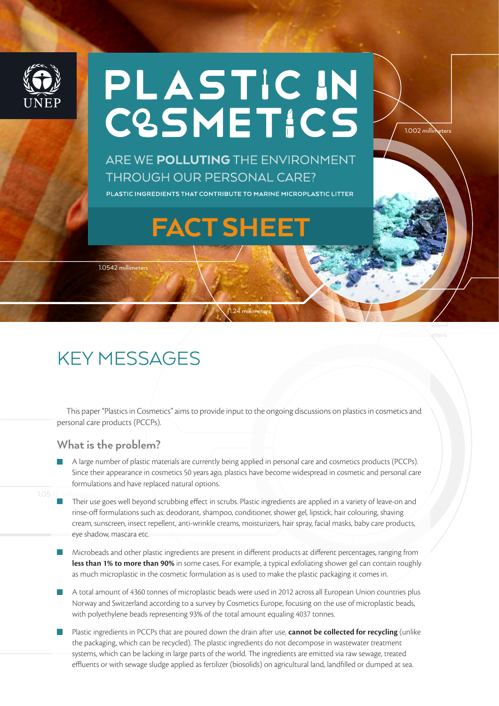

# PLASTIC IN<br>C&SMETICS

ARE WE POLLUTING THE ENVIRONMENT **THROUGH OUR PERSONAL CARE?** 

PLASTIC INGREDIENTS THAT CONTRIBUTE TO MARINE MICROPLASTIC LITTER

## FACT SHEET

1.0542 millimeters

1.24 millimeters

1.002 millimeters

 $1.002$  milling

### KEY MESSAGES

personal care products (PCCPs). This paper "Plastics in Cosmetics" aims to provide input to the ongoing discussions on plastics in cosmetics and

#### **What is the problem?**

- A large number of plastic materials are currently being applied in personal care and cosmetics products (PCCPs). Since their appearance in cosmetics 50 years ago, plastics have become widespread in cosmetic and personal care formulations and have replaced natural options.
- Their use goes well beyond scrubbing effect in scrubs. Plastic ingredients are applied in a variety of leave-on and rinse-off formulations such as: deodorant, shampoo, conditioner, shower gel, lipstick, hair colouring, shaving cream, sunscreen, insect repellent, anti-wrinkle creams, moisturizers, hair spray, facial masks, baby care products, eye shadow, mascara etc.
- Microbeads and other plastic ingredients are present in different products at different percentages, ranging from **less than 1% to more than 90%** in some cases. For example, a typical exfoliating shower gel can contain roughly as much microplastic in the cosmetic formulation as is used to make the plastic packaging it comes in.
- A total amount of 4360 tonnes of microplastic beads were used in 2012 across all European Union countries plus Norway and Switzerland according to a survey by Cosmetics Europe, focusing on the use of microplastic beads, with polyethylene beads representing 93% of the total amount equaling 4037 tonnes.
- ,<br>effluents or with sewage sludge applied as fertilizer (biosolids) on agricultural land, landfilled or dumped at sea. Plastic ingredients in PCCPs that are poured down the drain after use, **cannot be collected for recycling** (unlike the packaging, which can be recycled). The plastic ingredients do not decompose in wastewater treatment systems, which can be lacking in large parts of the world. The ingredients are emitted via raw sewage, treated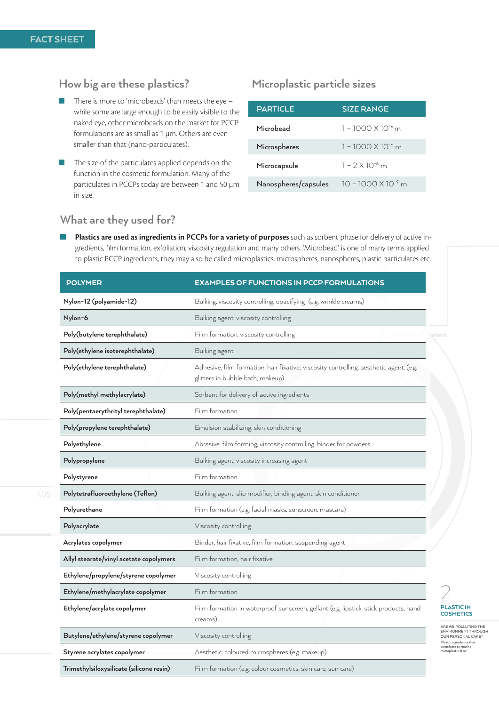#### **How big are these plastics?**

- There is more to 'microbeads' than meets the eye while some are large enough to be easily visible to the naked eye, other microbeads on the market for PCCP formulations are as small as 1 µm. Others are even smaller than that (nano-particulates).
- The size of the particulates applied depends on the function in the cosmetic formulation. Many of the particulates in PCCPs today are between 1 and 50 µm in size.

#### **Microplastic particle sizes**

| <b>PARTICLE</b>      | <b>SIZE RANGE</b>            |
|----------------------|------------------------------|
| Microbead            | $1 - 1000 \times 10^{-6}$ m  |
| Microspheres         | $1 - 1000 \times 10^{-6}$ m  |
| Microcapsule         | $1 - 2 \times 10^{-6}$ m     |
| Nanospheres/capsules | $10 - 1000 \times 10^{-9}$ m |

#### **What are they used for?**

**Plastics are used as ingredients in PCCPs for a variety of purposes** such as sorbent phase for delivery of active ingredients, film formation, exfoliation, viscosity regulation and many others. 'Microbead' is one of many terms applied to plastic PCCP ingredients; they may also be called microplastics, microspheres, nanospheres, plastic particulates etc.

| <b>POLYMER</b>                           | <b>EXAMPLES OF FUNCTIONS IN PCCP FORMULATIONS</b>                                                                          |  |
|------------------------------------------|----------------------------------------------------------------------------------------------------------------------------|--|
| Nylon-12 (polyamide-12)                  | Bulking, viscosity controlling, opacifying (e.g. wrinkle creams)                                                           |  |
| Nylon-6                                  | Bulking agent, viscosity controlling                                                                                       |  |
| Poly(butylene terephthalate)             | Film formation, viscosity controlling<br>.002 millimeters                                                                  |  |
| Poly(ethylene isoterephthalate)          | Bulking agent                                                                                                              |  |
| Poly(ethylene terephthalate)             | Adhesive, film formation, hair fixative; viscosity controlling, aesthetic agent, (e.g.<br>glitters in bubble bath, makeup) |  |
| Poly(methyl methylacrylate)              | Sorbent for delivery of active ingredients                                                                                 |  |
| Poly(pentaerythrityl terephthalate)      | Film formation                                                                                                             |  |
| Poly(propylene terephthalate)            | Emulsion stabilizing, skin conditioning                                                                                    |  |
| Polyethylene                             | Abrasive, film forming, viscosity controlling, binder for powders                                                          |  |
| Polypropylene                            | Bulking agent, viscosity increasing agent                                                                                  |  |
| Polystyrene                              | Film formation                                                                                                             |  |
| Polytetrafluoroethylene (Teflon)         | Bulking agent, slip modifier, binding agent, skin conditioner                                                              |  |
| Polyurethane                             | Film formation (e.g. facial masks, sunscreen, mascara)                                                                     |  |
| Polyacrylate                             | Viscosity controlling                                                                                                      |  |
| Acrylates copolymer                      | Binder, hair fixative, film formation, suspending agent                                                                    |  |
| Allyl stearate/vinyl acetate copolymers  | Film formation, hair fixative                                                                                              |  |
| Ethylene/propylene/styrene copolymer     | Viscosity controlling                                                                                                      |  |
| Ethylene/methylacrylate copolymer        | Film formation                                                                                                             |  |
| Ethylene/acrylate copolymer              | Film formation in waterproof sunscreen, gellant (e.g. lipstick, stick products, hand<br>creams)                            |  |
| Butylene/ethylene/styrene copolymer      | Viscosity controlling                                                                                                      |  |
| Styrene acrylates copolymer              | Aesthetic, coloured microspheres (e.g. makeup)                                                                             |  |
| Trimethylsiloxysilicate (silicone resin) | Film formation (e.g. colour cosmetics, skin care, sun care)                                                                |  |